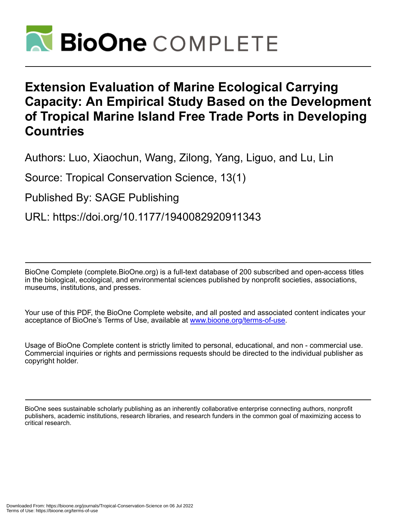

# **Extension Evaluation of Marine Ecological Carrying Capacity: An Empirical Study Based on the Development of Tropical Marine Island Free Trade Ports in Developing Countries**

Authors: Luo, Xiaochun, Wang, Zilong, Yang, Liguo, and Lu, Lin

Source: Tropical Conservation Science, 13(1)

Published By: SAGE Publishing

URL: https://doi.org/10.1177/1940082920911343

BioOne Complete (complete.BioOne.org) is a full-text database of 200 subscribed and open-access titles in the biological, ecological, and environmental sciences published by nonprofit societies, associations, museums, institutions, and presses.

Your use of this PDF, the BioOne Complete website, and all posted and associated content indicates your acceptance of BioOne's Terms of Use, available at www.bioone.org/terms-of-use.

Usage of BioOne Complete content is strictly limited to personal, educational, and non - commercial use. Commercial inquiries or rights and permissions requests should be directed to the individual publisher as copyright holder.

BioOne sees sustainable scholarly publishing as an inherently collaborative enterprise connecting authors, nonprofit publishers, academic institutions, research libraries, and research funders in the common goal of maximizing access to critical research.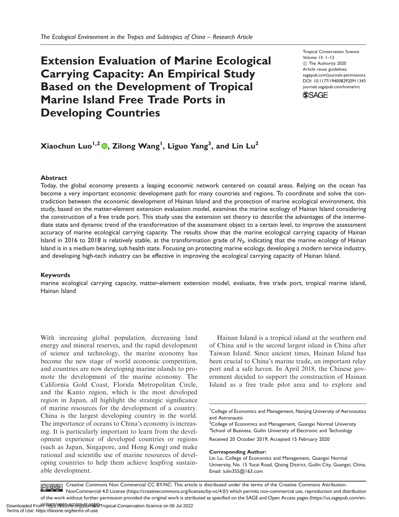# Extension Evaluation of Marine Ecological Carrying Capacity: An Empirical Study Based on the Development of Tropical Marine Island Free Trade Ports in Developing Countries

Tropical Conservation Science Volume 13: 1–12 C The Author(s) 2020 Article reuse guidelines: [sagepub.com/journals-permissions](http://us.sagepub.com/en-us/journals-permissions) [DOI: 10.1177/1940082920911343](http://dx.doi.org/10.1177/1940082920911343) <journals.sagepub.com/home/trc>



# Xiaochun Luo $^{1,2}$  (D, Zilong Wang $^{1}$ , Liguo Yang $^{3},$  and Lin Lu $^{2}$

#### Abstract

Today, the global economy presents a leaping economic network centered on coastal areas. Relying on the ocean has become a very important economic development path for many countries and regions. To coordinate and solve the contradiction between the economic development of Hainan Island and the protection of marine ecological environment, this study, based on the matter-element extension evaluation model, examines the marine ecology of Hainan Island considering the construction of a free trade port. This study uses the extension set theory to describe the advantages of the intermediate state and dynamic trend of the transformation of the assessment object to a certain level, to improve the assessment accuracy of marine ecological carrying capacity. The results show that the marine ecological carrying capacity of Hainan Island in 2016 to 2018 is relatively stable, at the transformation grade of  $N_3$ , indicating that the marine ecology of Hainan Island is in a medium bearing, sub health state. Focusing on protecting marine ecology, developing a modern service industry, and developing high-tech industry can be effective in improving the ecological carrying capacity of Hainan Island.

#### Keywords

marine ecological carrying capacity, matter-element extension model, evaluate, free trade port, tropical marine island, Hainan Island

With increasing global population, decreasing land energy and mineral reserves, and the rapid development of science and technology, the marine economy has become the new stage of world economic competition, and countries are now developing marine islands to promote the development of the marine economy. The California Gold Coast, Florida Metropolitan Circle, and the Kanto region, which is the most developed region in Japan, all highlight the strategic significance of marine resources for the development of a country. China is the largest developing country in the world. The importance of oceans to China's economy is increasing. It is particularly important to learn from the development experience of developed countries or regions (such as Japan, Singapore, and Hong Kong) and make rational and scientific use of marine resources of developing countries to help them achieve leapfrog sustainable development.

Hainan Island is a tropical island at the southern end of China and is the second largest island in China after Taiwan Island. Since ancient times, Hainan Island has been crucial to China's marine trade, an important relay port and a safe haven. In April 2018, the Chinese government decided to support the construction of Hainan Island as a free trade pilot area and to explore and

<sup>2</sup>College of Economics and Management, Guangxi Normal University <sup>3</sup>School of Business, Guilin University of Electronic and Technology Received 20 October 2019; Accepted 15 February 2020

#### Corresponding Author:

Creative Commons Non Commercial CC BY-NC: This article is distributed under the terms of the Creative Commons Attribution- $\bigcirc$   $\bigcirc$   $\bigcirc$ NonCommercial 4.0 License (https://creativecommons.org/licenses/by-nc/4.0/) which permits non-commercial use, reproduction and distribution of the work without further permission provided the original work is attributed as specified on the SAGE and Open Access pages (https://us.sagepub.com/en-

<sup>&</sup>lt;sup>1</sup> College of Economics and Management, Nanjing University of Aeronautics and Astronautis

Lin Lu, College of Economics and Management, Guangxi Normal University, No. 15 Yucai Road, Qixing District, Guilin City, Guangxi, China. Email: [lulin355@163.com](mailto:lulin355@163.com)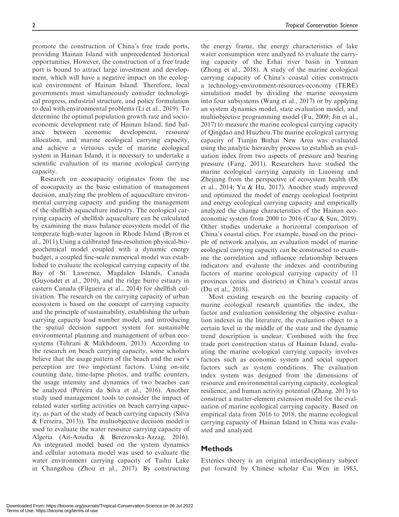promote the construction of China's free trade ports, providing Hainan Island with unprecedented historical opportunities. However, the construction of a free trade port is bound to attract large investment and development, which will have a negative impact on the ecological environment of Hainan Island. Therefore, local governments must simultaneously consider technological progress, industrial structure, and policy formulation to deal with environmental problems (Li et al., 2019). To determine the optimal population growth rate and socioeconomic development rate of Hainan Island, find balance between economic development, resource allocation, and marine ecological carrying capacity, and achieve a virtuous cycle of marine ecological system in Hainan Island, it is necessary to undertake a

scientific evaluation of its marine ecological carrying

capacity. Research on ecocapacity originates from the use of ecocapacity as the basic estimation of management decision, analyzing the problem of aquaculture environmental carrying capacity and guiding the management of the shellfish aquaculture industry. The ecological carrying capacity of shellfish aquaculture can be calculated by examining the mass balance ecosystem model of the temperate high-water lagoon in Rhode Island (Byron et al., 2011).Using a calibrated fine-resolution physical-biogeochemical model coupled with a dynamic energy budget, a coupled fine-scale numerical model was established to evaluate the ecological carrying capacity of the Bay of St. Lawrence, Magdalen Islands, Canada (Guyondet et al., 2010), and the ridge burro estuary in eastern Canada (Filgueira et al., 2014) for shellfish cultivation. The research on the carrying capacity of urban ecosystem is based on the concept of carrying capacity and the principle of sustainability, establishing the urban carrying capacity load number model, and introducing the spatial decision support system for sustainable environmental planning and management of urban ecosystems (Tehrani & Makhdoum, 2013). According to the research on beach carrying capacity, some scholars believe that the usage pattern of the beach and the user's perception are two important factors. Using on-site counting date, time-lapse photos, and traffic counters, the usage intensity and dynamics of two beaches can be analyzed (Pereira da Silva et al., 2016). Another study used management tools to consider the impact of related water surfing activities on beach carrying capacity, as part of the study of beach carrying capacity (Silva & Ferreira, 2013)). The multiobjective decision model is used to evaluate the water resource carrying capacity of Algeria (Ait-Aoudia & Berezowska-Azzag, 2016). An integrated model based on the system dynamics and cellular automata model was used to evaluate the water environment carrying capacity of Taihu Lake in Changzhou (Zhou et al., 2017). By constructing

the energy frame, the energy characteristics of lake water consumption were analyzed to evaluate the carrying capacity of the Erhai river basin in Yunnan (Zhong et al., 2018). A study of the marine ecological carrying capacity of China's coastal cities constructs a technology-environment-resources-economy (TERE) simulation model by dividing the marine ecosystem into four subsystems (Wang et al., 2017) or by applying an system dynamics model, state evaluation model, and multiobjective programming model (Fu, 2009; Jin et al., 2017) to measure the marine ecological carrying capacity of Qingdao and Huizhou.The marine ecological carrying capacity of Tianjin Binhai New Area was evaluated using the analytic hierarchy process to establish an evaluation index from two aspects of pressure and bearing pressure (Fang, 2011). Researchers have studied the marine ecological carrying capacity in Liaoning and Zhejiang from the perspective of ecosystem health (Di et al., 2014; Yu & Hu, 2017). Another study improved and optimized the model of energy ecological footprint and energy ecological carrying capacity and empirically analyzed the change characteristics of the Hainan ecoeconomic system from 2000 to 2016 (Cao & Sun, 2019). Other studies undertake a horizontal comparison of China's coastal cities. For example, based on the principle of network analysis, an evaluation model of marine ecological carrying capacity can be constructed to examine the correlation and influence relationship between indicators and evaluate the indexes and contributing factors of marine ecological carrying capacity of 11 provinces (cities and districts) in China's coastal areas (Du et al., 2018).

Most existing research on the bearing capacity of marine ecological research quantifies the index, the factor and evaluation considering the objective evaluation indexes in the literature, the evaluation object to a certain level in the middle of the state and the dynamic trend description is unclear. Combined with the free trade port construction status of Hainan Island, evaluating the marine ecological carrying capacity involves factors such as economic system and social support factors such as system conditions. The evaluation index system was designed from the dimensions of resource and environmental carrying capacity, ecological resilience, and human activity potential (Zhang, 2013) to construct a matter-element extension model for the evaluation of marine ecological carrying capacity. Based on empirical data from 2016 to 2018, the marine ecological carrying capacity of Hainan Island in China was evaluated and analyzed.

# Methods

Extenics theory is an original interdisciplinary subject put forward by Chinese scholar Cai Wen in 1983,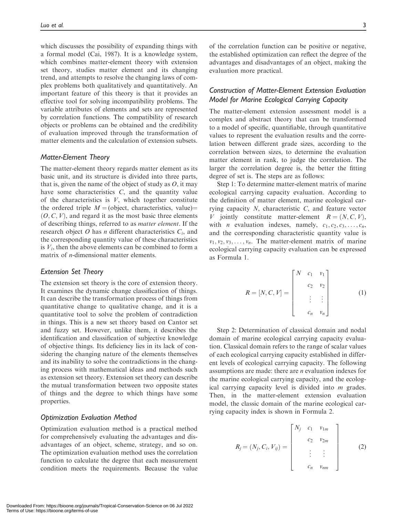which discusses the possibility of expanding things with a formal model (Cai, 1987). It is a knowledge system, which combines matter-element theory with extension set theory, studies matter element and its changing trend, and attempts to resolve the changing laws of complex problems both qualitatively and quantitatively. An important feature of this theory is that it provides an effective tool for solving incompatibility problems. The variable attributes of elements and sets are represented by correlation functions. The compatibility of research objects or problems can be obtained and the credibility of evaluation improved through the transformation of matter elements and the calculation of extension subsets.

# Matter-Element Theory

The matter-element theory regards matter element as its basic unit, and its structure is divided into three parts, that is, given the name of the object of study as  $O$ , it may have some characteristics  $C$ , and the quantity value of the characteristics is  $V$ , which together constitute the ordered triple  $M =$ (object, characteristics, value) $=$  $(O, C, V)$ , and regard it as the most basic three elements of describing things, referred to as matter element. If the research object O has *n* different characteristics  $C_i$ , and the corresponding quantity value of these characteristics is  $V_i$ , then the above elements can be combined to form a matrix of *n*-dimensional matter elements.

#### Extension Set Theory

The extension set theory is the core of extension theory. It examines the dynamic change classification of things. It can describe the transformation process of things from quantitative change to qualitative change, and it is a quantitative tool to solve the problem of contradiction in things. This is a new set theory based on Cantor set and fuzzy set. However, unlike them, it describes the identification and classification of subjective knowledge of objective things. Its deficiency lies in its lack of considering the changing nature of the elements themselves and its inability to solve the contradictions in the changing process with mathematical ideas and methods such as extension set theory. Extension set theory can describe the mutual transformation between two opposite states of things and the degree to which things have some properties.

### Optimization Evaluation Method

Optimization evaluation method is a practical method for comprehensively evaluating the advantages and disadvantages of an object, scheme, strategy, and so on. The optimization evaluation method uses the correlation function to calculate the degree that each measurement condition meets the requirements. Because the value

of the correlation function can be positive or negative, the established optimization can reflect the degree of the advantages and disadvantages of an object, making the evaluation more practical.

# Construction of Matter-Element Extension Evaluation Model for Marine Ecological Carrying Capacity

The matter-element extension assessment model is a complex and abstract theory that can be transformed to a model of specific, quantifiable, through quantitative values to represent the evaluation results and the correlation between different grade sizes, according to the correlation between sizes, to determine the evaluation matter element in rank, to judge the correlation. The larger the correlation degree is, the better the fitting degree of set is. The steps are as follows:

Step 1: To determine matter-element matrix of marine ecological carrying capacity evaluation. According to the definition of matter element, marine ecological carrying capacity N, characteristic C, and feature vector V jointly constitute matter-element  $R = (N, C, V),$ with *n* evaluation indexes, namely,  $c_1, c_2, c_3, \ldots, c_n$ , and the corresponding characteristic quantity value is  $v_1, v_2, v_3, \ldots, v_n$ . The matter-element matrix of marine ecological carrying capacity evaluation can be expressed as Formula 1.

$$
R = [N, C, V] = \begin{bmatrix} N & c_1 & v_1 \\ & c_2 & v_2 \\ & & \vdots & \vdots \\ & & & c_n & v_n \end{bmatrix}
$$
 (1)

Step 2: Determination of classical domain and nodal domain of marine ecological carrying capacity evaluation. Classical domain refers to the range of scalar values of each ecological carrying capacity established in different levels of ecological carrying capacity. The following assumptions are made: there are n evaluation indexes for the marine ecological carrying capacity, and the ecological carrying capacity level is divided into m grades. Then, in the matter-element extension evaluation model, the classic domain of the marine ecological carrying capacity index is shown in Formula 2.

$$
R_j = (N_j, C_i, V_{ij}) = \begin{bmatrix} N_j & c_1 & v_{1m} \\ & c_2 & v_{2m} \\ & & \vdots & \vdots \\ & & & c_n & v_{nm} \end{bmatrix}
$$
 (2)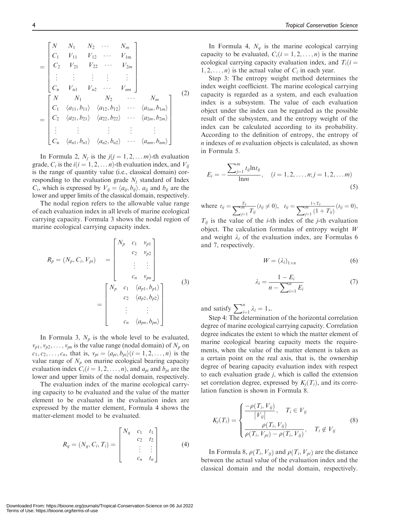$$
= \begin{bmatrix} N & N_1 & N_2 & \cdots & N_m \\ C_1 & V_{11} & V_{12} & \cdots & V_{1m} \\ C_2 & V_{21} & V_{22} & \cdots & V_{2m} \\ \vdots & \vdots & \vdots & \vdots & \vdots \\ C_n & V_{n1} & V_{n2} & \cdots & V_{nm} \end{bmatrix}
$$
  
= 
$$
\begin{bmatrix} N & N_1 & N_2 & \cdots & N_m \\ C_1 & \langle a_{11}, b_{11} \rangle & \langle a_{12}, b_{12} \rangle & \cdots & \langle a_{1m}, b_{1m} \rangle \\ C_2 & \langle a_{21}, b_{21} \rangle & \langle a_{22}, b_{22} \rangle & \cdots & \langle a_{2m}, b_{2m} \rangle \\ \vdots & \vdots & \vdots & \vdots & \vdots \\ C_n & \langle a_{n1}, b_{n1} \rangle & \langle a_{n2}, b_{n2} \rangle & \cdots & \langle a_{nm}, b_{nm} \rangle \end{bmatrix}
$$
(2)

In Formula 2,  $N_j$  is the  $j(j = 1, 2, \ldots m)$ -th evaluation grade,  $C_i$  is the  $i(i = 1, 2, \ldots n)$ -th evaluation index, and  $V_{ij}$ is the range of quantity value (i.e., classical domain) corresponding to the evaluation grade  $N_i$  standard of Index  $C_i$ , which is expressed by  $V_{ij} = \langle a_{ij}, b_{ij} \rangle$ .  $a_{ij}$  and  $b_{ij}$  are the lower and upper limits of the classical domain, respectively.

The nodal region refers to the allowable value range of each evaluation index in all levels of marine ecological carrying capacity. Formula 3 shows the nodal region of marine ecological carrying capacity index.

$$
R_p = (N_p, C_i, V_{pi}) = \begin{bmatrix} N_p & c_1 & v_{p1} \\ & c_2 & v_{p2} \\ & \vdots & \vdots \\ & c_n & v_{pn} \end{bmatrix}
$$
\n
$$
= \begin{bmatrix} N_p & c_1 & \langle a_{p1}, b_{p1} \rangle \\ & c_2 & \langle a_{p2}, b_{p2} \rangle \\ & \vdots & \vdots \\ & c_n & \langle a_{pn}, b_{pn} \rangle \end{bmatrix}
$$
\n
$$
(3)
$$

In Formula 3,  $N_p$  is the whole level to be evaluated,  $v_{p1}, v_{p2}, \ldots, v_{pn}$  is the value range (nodal domain) of  $N_p$  on  $c_1, c_2, \ldots, c_n$ , that is,  $v_{pi} = \langle a_{pi}, b_{pi} \rangle (i = 1, 2, \ldots, n)$  is the value range of  $N_p$  on marine ecological bearing capacity evaluation index  $C_i(i = 1, 2, ..., n)$ , and  $a_{pi}$  and  $b_{pi}$  are the lower and upper limits of the nodal domain, respectively.

The evaluation index of the marine ecological carrying capacity to be evaluated and the value of the matter element to be evaluated in the evaluation index are expressed by the matter element, Formula 4 shows the matter-element model to be evaluated.

$$
R_q = (N_q, C_i, T_i) = \begin{bmatrix} N_q & c_1 & t_1 \\ & c_2 & t_2 \\ & \vdots & \vdots \\ & & c_n & t_n \end{bmatrix}
$$
 (4)

In Formula 4,  $N_q$  is the marine ecological carrying capacity to be evaluated,  $C_i(i = 1, 2, ..., n)$  is the marine ecological carrying capacity evaluation index, and  $T_i(i =$  $1, 2, \ldots, n$  is the actual value of  $C_i$  in each year.

Step 3: The entropy weight method determines the index weight coefficient. The marine ecological carrying capacity is regarded as a system, and each evaluation index is a subsystem. The value of each evaluation object under the index can be regarded as the possible result of the subsystem, and the entropy weight of the index can be calculated according to its probability. According to the definition of entropy, the entropy of  $n$  indexes of  $m$  evaluation objects is calculated, as shown in Formula 5.

$$
E_i = -\frac{\sum_{j=1}^{m} t_{ij} \ln t_{ij}}{\ln m}, \quad (i = 1, 2, \dots, n; j = 1, 2, \dots m)
$$
\n(5)

where  $t_{ij} = \frac{T_{ij}}{\sum_{j=1}^{m} T_{ij}} (t_{ij} \neq 0), \quad t_{ij} = \frac{1+T_{ij}}{\sum_{j=1}^{m} (1+T_{ij})} (t_{ij} = 0),$  $T_{ii}$  is the value of the *i*-th index of the *j*-th evaluation object. The calculation formulas of entropy weight  $W$ and weight  $\lambda_i$  of the evaluation index, are Formulas 6 and 7, respectively.

$$
W = (\lambda_i)_{1 \times n} \tag{6}
$$

$$
\lambda_i = \frac{1 - E_i}{n - \sum_{i=1}^n E_i} \tag{7}
$$

and satisfy  $\sum_{i=1}^{n} \lambda_i = 1$ .

Step 4: The determination of the horizontal correlation degree of marine ecological carrying capacity. Correlation degree indicates the extent to which the matter element of marine ecological bearing capacity meets the requirements, when the value of the matter element is taken as a certain point on the real axis, that is, the ownership degree of bearing capacity evaluation index with respect to each evaluation grade  $j$ , which is called the extension set correlation degree, expressed by  $K_i(T_i)$ , and its correlation function is shown in Formula 8.

$$
K_j(T_i) = \begin{cases} \frac{-\rho(T_i, V_{ij})}{|V_{ij}|}, & T_i \in V_{ij} \\ \frac{\rho(T_i, V_{ij})}{\rho(T_i, V_{pi}) - \rho(T_i, V_{ij})}, & T_i \notin V_{ij} \end{cases}
$$
(8)

In Formula 8,  $\rho(T_i, V_{ii})$  and  $\rho(T_i, V_{pi})$  are the distance between the actual value of the evaluation index and the classical domain and the nodal domain, respectively.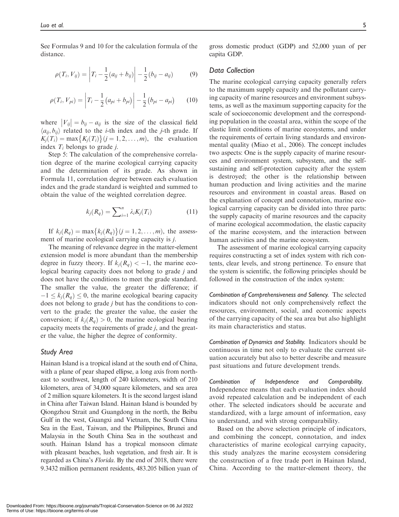See Formulas 9 and 10 for the calculation formula of the distance.

$$
\rho(T_i, V_{ij}) = \left| T_i - \frac{1}{2} (a_{ij} + b_{ij}) \right| - \frac{1}{2} (b_{ij} - a_{ij}) \tag{9}
$$

$$
\rho(T_i, V_{pi}) = \left| T_i - \frac{1}{2} (a_{pi} + b_{pi}) \right| - \frac{1}{2} (b_{pi} - a_{pi}) \tag{10}
$$

where  $|V_{ij}| = b_{ij} - a_{ij}$  is the size of the classical field  $\langle a_{ii}, b_{ii} \rangle$  related to the *i*-th index and the *j*-th grade. If  $K_j(T_i) = \max\{K_j(T_i)\}(j=1,2,\ldots,m)$ , the evaluation index  $T_i$  belongs to grade *j*.

Step 5: The calculation of the comprehensive correlation degree of the marine ecological carrying capacity and the determination of its grade. As shown in Formula 11, correlation degree between each evaluation index and the grade standard is weighted and summed to obtain the value of the weighted correlation degree.

$$
k_j(R_q) = \sum_{i=1}^n \lambda_i K_j(T_i) \tag{11}
$$

If  $k_j(R_q) = \max\{k_j(R_q)\}(j = 1, 2, ..., m)$ , the assessment of marine ecological carrying capacity is j.

The meaning of relevance degree in the matter-element extension model is more abundant than the membership degree in fuzzy theory. If  $k_i(R_q) < -1$ , the marine ecological bearing capacity does not belong to grade j and does not have the conditions to meet the grade standard. The smaller the value, the greater the difference; if  $-1 \leq k_i(R_q) \leq 0$ , the marine ecological bearing capacity does not belong to grade j but has the conditions to convert to the grade; the greater the value, the easier the conversion; if  $k_i(R_a) > 0$ , the marine ecological bearing capacity meets the requirements of grade j, and the greater the value, the higher the degree of conformity.

#### Study Area

Hainan Island is a tropical island at the south end of China, with a plane of pear shaped ellipse, a long axis from northeast to southwest, length of 240 kilometers, width of 210 kilometers, area of 34,000 square kilometers, and sea area of 2 million square kilometers. It is the second largest island in China after Taiwan Island. Hainan Island is bounded by Qiongzhou Strait and Guangdong in the north, the Beibu Gulf in the west, Guangxi and Vietnam, the South China Sea in the East, Taiwan, and the Philippines, Brunei and Malaysia in the South China Sea in the southeast and south. Hainan Island has a tropical monsoon climate with pleasant beaches, lush vegetation, and fresh air. It is regarded as China's Florida. By the end of 2018, there were 9.3432 million permanent residents, 483.205 billion yuan of

gross domestic product (GDP) and 52,000 yuan of per capita GDP.

#### Data Collection

The marine ecological carrying capacity generally refers to the maximum supply capacity and the pollutant carrying capacity of marine resources and environment subsystems, as well as the maximum supporting capacity for the scale of socioeconomic development and the corresponding population in the coastal area, within the scope of the elastic limit conditions of marine ecosystems, and under the requirements of certain living standards and environmental quality (Miao et al., 2006). The concept includes two aspects: One is the supply capacity of marine resources and environment system, subsystem, and the selfsustaining and self-protection capacity after the system is destroyed; the other is the relationship between human production and living activities and the marine resources and environment in coastal areas. Based on the explanation of concept and connotation, marine ecological carrying capacity can be divided into three parts: the supply capacity of marine resources and the capacity of marine ecological accommodation, the elastic capacity of the marine ecosystem, and the interaction between human activities and the marine ecosystem.

The assessment of marine ecological carrying capacity requires constructing a set of index system with rich contents, clear levels, and strong pertinence. To ensure that the system is scientific, the following principles should be followed in the construction of the index system:

Combination of Comprehensiveness and Saliency. The selected indicators should not only comprehensively reflect the resources, environment, social, and economic aspects of the carrying capacity of the sea area but also highlight its main characteristics and status.

Combination of Dynamics and Stability. Indicators should be continuous in time not only to evaluate the current situation accurately but also to better describe and measure past situations and future development trends.

Combination of Independence and Comparability. Independence means that each evaluation index should avoid repeated calculation and be independent of each other. The selected indicators should be accurate and standardized, with a large amount of information, easy to understand, and with strong comparability.

Based on the above selection principle of indicators, and combining the concept, connotation, and index characteristics of marine ecological carrying capacity, this study analyzes the marine ecosystem considering the construction of a free trade port in Hainan Island, China. According to the matter-element theory, the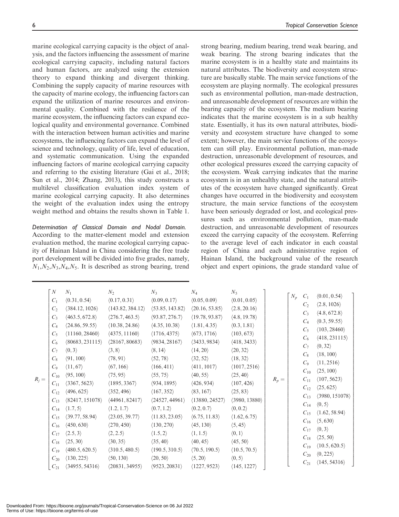marine ecological carrying capacity is the object of analysis, and the factors influencing the assessment of marine ecological carrying capacity, including natural factors and human factors, are analyzed using the extension theory to expand thinking and divergent thinking. Combining the supply capacity of marine resources with the capacity of marine ecology, the influencing factors can

expand the utilization of marine resources and environmental quality. Combined with the resilience of the marine ecosystem, the influencing factors can expand ecological quality and environmental governance. Combined with the interaction between human activities and marine ecosystems, the influencing factors can expand the level of science and technology, quality of life, level of education, and systematic communication. Using the expanded influencing factors of marine ecological carrying capacity and referring to the existing literature (Gai et al., 2018; Sun et al., 2014; Zhang, 2013), this study constructs a multilevel classification evaluation index system of marine ecological carrying capacity. It also determines the weight of the evaluation index using the entropy weight method and obtains the results shown in Table 1.

Determination of Classical Domain and Nodal Domain. According to the matter-element model and extension evaluation method, the marine ecological carrying capacity of Hainan Island in China considering the free trade port development will be divided into five grades, namely,  $N_1$ , $N_2$ , $N_3$ , $N_4$ , $N_5$ . It is described as strong bearing, trend

strong bearing, medium bearing, trend weak bearing, and weak bearing. The strong bearing indicates that the marine ecosystem is in a healthy state and maintains its natural attributes. The biodiversity and ecosystem structure are basically stable. The main service functions of the ecosystem are playing normally. The ecological pressures such as environmental pollution, man-made destruction, and unreasonable development of resources are within the bearing capacity of the ecosystem. The medium bearing indicates that the marine ecosystem is in a sub healthy state. Essentially, it has its own natural attributes, biodiversity and ecosystem structure have changed to some extent; however, the main service functions of the ecosystem can still play. Environmental pollution, man-made destruction, unreasonable development of resources, and other ecological pressures exceed the carrying capacity of the ecosystem. Weak carrying indicates that the marine ecosystem is in an unhealthy state, and the natural attributes of the ecosystem have changed significantly. Great changes have occurred in the biodiversity and ecosystem structure, the main service functions of the ecosystem have been seriously degraded or lost, and ecological pressures such as environmental pollution, man-made destruction, and unreasonable development of resources exceed the carrying capacity of the ecosystem. Referring to the average level of each indicator in each coastal region of China and each administrative region of Hainan Island, the background value of the research object and expert opinions, the grade standard value of

| $R_i =$ | N<br>$C_1$<br>C <sub>2</sub><br>$C_3$<br>$C_4$<br>$C_5$<br>$C_6$<br>$C_7$<br>$C_8$<br>$C_9$<br>$C_{10}$<br>$C_{11}$<br>$C_{12}$ | $N_1$<br>$\langle 0.31, 0.54 \rangle$<br>$\langle 384.12, 1026 \rangle$<br>$\langle 463.5, 672.8 \rangle$<br>(24.86, 59.55)<br>$\langle 11160, 28460 \rangle$<br>(80683, 231115)<br>$\langle 0,3 \rangle$<br>$\langle 91, 100 \rangle$<br>$\langle 11, 67 \rangle$<br>$\langle 95, 100 \rangle$<br>$\langle 3367, 5623 \rangle$<br>$\langle 496, 625 \rangle$ | $N_2$<br>$\langle 0.17, 0.31 \rangle$<br>(143.82, 384.12)<br>$\langle 276.7, 463.5 \rangle$<br>(10.38, 24.86)<br>$\langle 4375, 11160 \rangle$<br>$\langle 28167, 80683 \rangle$<br>$\langle 3, 8 \rangle$<br>$\langle 78, 91 \rangle$<br>$\langle 67, 166 \rangle$<br>$\langle 75, 95 \rangle$<br>$\langle 1895, 3367 \rangle$<br>$\langle 352, 496 \rangle$ | $N_3$<br>$\langle 0.09, 0.17 \rangle$<br>(53.85, 143.82)<br>(93.87, 276.7)<br>$\langle 4.35, 10.38 \rangle$<br>$\langle 1716, 4375 \rangle$<br>$\langle 9834, 28167 \rangle$<br>$\langle 8, 14 \rangle$<br>$\langle 52, 78 \rangle$<br>$\langle 166, 411 \rangle$<br>$\langle 55, 75 \rangle$<br>(934, 1895)<br>$\langle 167, 352 \rangle$ | $N_4$<br>$\langle 0.05, 0.09 \rangle$<br>$\langle 20.16, 53.85 \rangle$<br>(19.78, 93.87)<br>$\langle 1.81, 4.35 \rangle$<br>$\langle 673, 1716 \rangle$<br>$\langle 3433, 9834 \rangle$<br>$\langle 14, 20 \rangle$<br>$\langle 32, 52 \rangle$<br>$\langle 411, 1017 \rangle$<br>$\langle 40, 55 \rangle$<br>$\langle 426, 934 \rangle$<br>$\langle 83, 167 \rangle$ | $N_5$<br>$\langle 0.01, 0.05 \rangle$<br>$\langle 2.8, 20.16 \rangle$<br>$\langle 4.8, 19.78 \rangle$<br>$\langle 0.3, 1.81 \rangle$<br>$\langle 103, 673 \rangle$<br>$\langle 418, 3433 \rangle$<br>$\langle 20, 32 \rangle$<br>$\langle 18, 32 \rangle$<br>$\langle 1017, 2516 \rangle$<br>$\langle 25, 40 \rangle$<br>$\langle 107, 426 \rangle$<br>$\langle 25, 83 \rangle$ | $N_p$<br>$R_p =$ | $C_1$<br>C <sub>2</sub><br>$C_3$<br>$C_4$<br>$C_5$<br>$C_6$<br>$C_7$<br>$C_8$<br>$C_9$<br>$C_{10}$<br>$C_{11}$<br>$C_{12}$<br>$C_{13}$ | $\langle 0.01, 0.54 \rangle$<br>$\langle 2.8, 1026 \rangle$<br>$\langle 4.8, 672.8 \rangle$<br>$\langle 0.3, 59.55 \rangle$<br>$\langle 103, 28460 \rangle$<br>$\langle 418, 231115 \rangle$<br>$\langle 0, 32 \rangle$<br>$\langle 18, 100 \rangle$<br>$\langle 11, 2516 \rangle$<br>$\langle 25, 100 \rangle$<br>(107, 5623)<br>$\langle 25, 625 \rangle$<br>(3980, 151078) |
|---------|---------------------------------------------------------------------------------------------------------------------------------|---------------------------------------------------------------------------------------------------------------------------------------------------------------------------------------------------------------------------------------------------------------------------------------------------------------------------------------------------------------|---------------------------------------------------------------------------------------------------------------------------------------------------------------------------------------------------------------------------------------------------------------------------------------------------------------------------------------------------------------|--------------------------------------------------------------------------------------------------------------------------------------------------------------------------------------------------------------------------------------------------------------------------------------------------------------------------------------------|------------------------------------------------------------------------------------------------------------------------------------------------------------------------------------------------------------------------------------------------------------------------------------------------------------------------------------------------------------------------|---------------------------------------------------------------------------------------------------------------------------------------------------------------------------------------------------------------------------------------------------------------------------------------------------------------------------------------------------------------------------------|------------------|----------------------------------------------------------------------------------------------------------------------------------------|-------------------------------------------------------------------------------------------------------------------------------------------------------------------------------------------------------------------------------------------------------------------------------------------------------------------------------------------------------------------------------|
|         | $C_{13}$<br>$C_{14}$<br>$C_{15}$<br>$C_{16}$<br>$C_{17}$<br>$C_{18}$<br>$C_{19}$<br>$C_{20}$<br>$C_{21}$                        | (82417, 151078)<br>$\langle 1.7, 5 \rangle$<br>(39.77, 58.94)<br>$\langle 450, 630 \rangle$<br>$\langle 2.5, 3 \rangle$<br>$\langle 25, 30 \rangle$<br>$\langle 480.5, 620.5 \rangle$<br>$\langle 130, 225 \rangle$<br>(34955, 54316)                                                                                                                         | (44961, 82417)<br>$\langle 1.2, 1.7 \rangle$<br>$\langle 23.05, 39.77 \rangle$<br>$\langle 270, 450 \rangle$<br>$\langle 2, 2.5 \rangle$<br>$\langle 30, 35 \rangle$<br>$\langle 310.5, 480.5 \rangle$<br>$\langle 50, 130 \rangle$<br>$\langle 20831, 34955 \rangle$                                                                                         | (24527, 44961)<br>$\langle 0.7, 1.2 \rangle$<br>$\langle 11.83, 23.05 \rangle$<br>$\langle 130, 270 \rangle$<br>$\langle 1.5, 2 \rangle$<br>$\langle 35, 40 \rangle$<br>$\langle 190.5, 310.5 \rangle$<br>$\langle 20, 50 \rangle$<br>$\langle 9523, 20831 \rangle$                                                                        | (13880, 24527)<br>$\langle 0.2, 0.7 \rangle$<br>(6.75, 11.83)<br>$\langle 45, 130 \rangle$<br>$\langle 1, 1.5 \rangle$<br>$\langle 40, 45 \rangle$<br>(70.5, 190.5)<br>$\langle 5, 20 \rangle$<br>$\langle 1227, 9523 \rangle$                                                                                                                                         | $\langle 3980, 13880 \rangle$<br>$\langle 0, 0.2 \rangle$<br>$\langle 1.62, 6.75 \rangle$<br>$\langle 5, 45 \rangle$<br>$\langle 0,1\rangle$<br>$\langle 45, 50 \rangle$<br>(10.5, 70.5)<br>$\langle 0, 5 \rangle$<br>(145, 1227)                                                                                                                                               |                  | $C_{14}$<br>$C_{15}$<br>$C_{16}$<br>$C_{17}$<br>$C_{18}$<br>$C_{19}$<br>$C_{20}$<br>$C_{21}$                                           | $\langle 0, 5 \rangle$<br>$\langle 1.62, 58.94 \rangle$<br>$\langle 5,630 \rangle$<br>$\langle 0,3 \rangle$<br>$\langle 25, 50 \rangle$<br>$\langle 10.5, 620.5 \rangle$<br>$\langle 0, 225 \rangle$<br>(145, 54316)                                                                                                                                                          |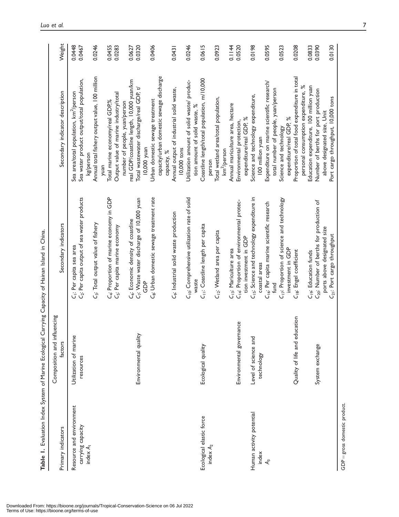|                                           | 。"\"                                   | j<br>J<br>J<br>J<br>J                                                                             |                                                                                                     |                  |
|-------------------------------------------|----------------------------------------|---------------------------------------------------------------------------------------------------|-----------------------------------------------------------------------------------------------------|------------------|
| Primary indicators                        | Composition and influencing<br>factors | Secondary indicators                                                                              | Secondary indicator description                                                                     | Weight           |
| Resource and environment                  | Utilization of marine                  | C <sub>i</sub> : Per capita sea area                                                              | Sea area/total population, km <sup>2</sup> /person                                                  | 0.0448           |
| carrying capacity<br>index A <sub>l</sub> | resources                              | G: Per capita output of sea water products                                                        | Sea water product output/total population,<br>kg/person                                             | 0.0467           |
|                                           |                                        | G: Total output value of fishery                                                                  | Annual total fishery output value, 100 million                                                      | 0.0246           |
|                                           |                                        | C <sub>4</sub> : Proportion of marine economy in GDP                                              | Total marine economy/real GDP%<br>yuan                                                              | 0.0455           |
|                                           |                                        | C <sub>5</sub> : Per capita marine economy                                                        | Output value of marine industry/total                                                               | 0.0283           |
|                                           |                                        |                                                                                                   | number of people, yuan/person                                                                       |                  |
|                                           | Environmental quality                  | C7: Waste water discharge of 10,000 yuan<br>C <sub>6</sub> : Economic density of coastline<br>GDP | real GDP/coastline length, 10,000 yuan/km<br>Total wastewater discharge/real GDP, t/<br>10,000 yuan | 0.0320<br>0.0627 |
|                                           |                                        | C <sub>8</sub> : Urban domestic sewage treatment rate                                             | Urban domestic sewage treatment                                                                     | 0.0406           |
|                                           |                                        |                                                                                                   | capacity/urban domestic sewage discharge<br>capacity, %                                             |                  |
|                                           |                                        | C <sub>9</sub> : Industrial solid waste production                                                | Annual output of industrial solid waste,<br>10,000 tons                                             | 0.0431           |
|                                           |                                        | C <sub>lo</sub> : Comprehensive utilization rate of solid                                         | Utilization amount of solid waste/ produc-                                                          | 0.0246           |
|                                           |                                        | waste                                                                                             | tion amount of solid waste, %                                                                       |                  |
| Ecological elastic force                  | Ecological quality                     | C <sub>11</sub> : Coastline length per capita                                                     | Coastline length/total population, m/10,000                                                         | 0.0615           |
| index $A_2$                               |                                        | C <sub>12</sub> : Wetland area per capita                                                         | Total wetland area/total population,<br>km <sup>2</sup> /person<br>person                           | 0.0923           |
|                                           |                                        | C <sub>13</sub> : Mariculture area                                                                | Annual mariculture area, hectare                                                                    | 0.1144           |
|                                           | Environmental governance               | C <sub>14</sub> : Proportion of environmental protec-                                             | Environmental protection,                                                                           | 0.0520           |
|                                           |                                        | tion investment in GDP                                                                            | expenditure/real GDP, %                                                                             |                  |
| Human activity potential                  | Level of science and                   | C <sub>15</sub> : Science and technology expenditure in                                           | Science and technology expenditure,                                                                 | 0.0198           |
| index                                     | technology                             | coastal areas                                                                                     | 100 million yuan                                                                                    |                  |
| ዺ                                         |                                        | C <sub>16</sub> : Per capita marine scientific research                                           | Expenditure on marine scientific research/                                                          | 0.0595           |
|                                           |                                        | fund                                                                                              | total number of people, yuan/person                                                                 |                  |
|                                           |                                        | C <sub>17</sub> : Proportion of science and technology                                            | Science and technology                                                                              | 0.0523           |
|                                           |                                        | investment in GDP                                                                                 | expenditure/real GDP, %                                                                             |                  |
|                                           | Quality of life and education          | C <sub>18</sub> : Engel coefficient                                                               | Proportion of total food expenditure in total                                                       | 0.0208           |
|                                           |                                        |                                                                                                   | personal consumption expenditure, %                                                                 |                  |
|                                           |                                        | C <sub>19</sub> : Education funds                                                                 | Education expenditure, 100 million yuan<br>Number of berths for port production                     | 0.0833<br>0.0390 |
|                                           | System exchange                        | C <sub>20</sub> : Number of berths for production of                                              |                                                                                                     |                  |
|                                           |                                        | ports above designated size<br>C <sub>21</sub> : Port cargo throughput                            | Port cargo throughput, 10,000 tons<br>above designated size, Unit                                   | 0.0130           |

Table 1. Evaluation Index System of Marine Ecological Carrying Capacity of Hainan Island in China. Table 1. Evaluation Index System of Marine Ecological Carrying Capacity of Hainan Island in China.

 $\overline{5}$ gross domestic product.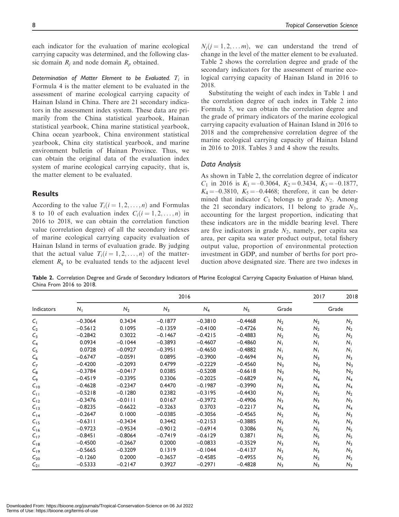Determination of Matter Element to be Evaluated.  $T_i$  in Formula 4 is the matter element to be evaluated in the assessment of marine ecological carrying capacity of Hainan Island in China. There are 21 secondary indicators in the assessment index system. These data are primarily from the China statistical yearbook, Hainan statistical yearbook, China marine statistical yearbook, China ocean yearbook, China environment statistical yearbook, China city statistical yearbook, and marine environment bulletin of Hainan Province. Thus, we can obtain the original data of the evaluation index system of marine ecological carrying capacity, that is, the matter element to be evaluated.

# **Results**

According to the value  $T_i(i = 1, 2, ..., n)$  and Formulas 8 to 10 of each evaluation index  $C_i(i = 1, 2, \ldots, n)$  in 2016 to 2018, we can obtain the correlation function value (correlation degree) of all the secondary indexes of marine ecological carrying capacity evaluation of Hainan Island in terms of evaluation grade. By judging that the actual value  $T_i(i = 1, 2, ..., n)$  of the matterelement  $R_q$  to be evaluated tends to the adjacent level

 $N_i (j = 1, 2, \ldots m)$ , we can understand the trend of change in the level of the matter element to be evaluated. Table 2 shows the correlation degree and grade of the secondary indicators for the assessment of marine ecological carrying capacity of Hainan Island in 2016 to 2018.

Substituting the weight of each index in Table 1 and the correlation degree of each index in Table 2 into Formula 5, we can obtain the correlation degree and the grade of primary indicators of the marine ecological carrying capacity evaluation of Hainan Island in 2016 to 2018 and the comprehensive correlation degree of the marine ecological carrying capacity of Hainan Island in 2016 to 2018. Tables 3 and 4 show the results.

#### Data Analysis

As shown in Table 2, the correlation degree of indicator  $C_1$  in 2016 is  $K_1 = -0.3064$ ,  $K_2 = 0.3434$ ,  $K_3 = -0.1877$ ,  $K_4 = -0.3810, K_5 = -0.4468$ ; therefore, it can be determined that indicator  $C_1$  belongs to grade  $N_2$ . Among the 21 secondary indicators, 11 belong to grade  $N_3$ , accounting for the largest proportion, indicating that these indicators are in the middle bearing level. There are five indicators in grade  $N_2$ , namely, per capita sea area, per capita sea water product output, total fishery output value, proportion of environmental protection investment in GDP, and number of berths for port production above designated size. There are two indexes in

Table 2. Correlation Degree and Grade of Secondary Indicators of Marine Ecological Carrying Capacity Evaluation of Hainan Island, China From 2016 to 2018.

|                |             | 2017      | 2018      |           |                |                |                |                |
|----------------|-------------|-----------|-----------|-----------|----------------|----------------|----------------|----------------|
| Indicators     | $N_{\perp}$ | $N_2$     | $N_3$     | $N_4$     | N <sub>5</sub> | Grade          | Grade          |                |
| $C_{1}$        | $-0.3064$   | 0.3434    | $-0.1877$ | $-0.3810$ | $-0.4468$      | $N_2$          | $N_2$          | $N_2$          |
| C <sub>2</sub> | $-0.5612$   | 0.1095    | $-0.1359$ | $-0.4100$ | $-0.4726$      | $N_2$          | $N_2$          | $N_2$          |
| $C_3$          | $-0.2842$   | 0.3022    | $-0.1467$ | $-0.4215$ | $-0.4883$      | $N_2$          | $N_2$          | $N_2$          |
| $C_4$          | 0.0934      | $-0.1044$ | $-0.3893$ | $-0.4607$ | $-0.4860$      | $N_{\perp}$    | $N_{\perp}$    | $N_{\perp}$    |
| $C_{5}$        | 0.0728      | $-0.0927$ | $-0.3951$ | $-0.4650$ | $-0.4882$      | N <sub>1</sub> | $N_{\perp}$    | $N_{\perp}$    |
| $C_6$          | $-0.6747$   | $-0.0591$ | 0.0895    | $-0.3900$ | $-0.4694$      | N <sub>3</sub> | N <sub>3</sub> | $N_3$          |
| $C_7$          | $-0.4200$   | $-0.2093$ | 0.4799    | $-0.2229$ | $-0.4560$      | $N_3$          | $N_3$          | $N_3$          |
| $C_8$          | $-0.3784$   | $-0.0417$ | 0.0385    | $-0.5208$ | $-0.6618$      | $N_3$          | $N_2$          | $N_2$          |
| $C_{9}$        | $-0.4519$   | $-0.3395$ | 0.3306    | $-0.2025$ | $-0.6829$      | N <sub>3</sub> | $N_4$          | $N_4$          |
| $C_{10}$       | $-0.4628$   | $-0.2347$ | 0.4470    | $-0.1987$ | $-0.3990$      | $N_3$          | $N_4$          | $N_4$          |
| $C_{11}$       | $-0.5218$   | $-0.1280$ | 0.2382    | $-0.3195$ | $-0.4430$      | $N_3$          | $N_2$          | $N_2$          |
| $C_{12}$       | $-0.3476$   | $-0.0111$ | 0.0167    | $-0.3972$ | $-0.4906$      | $N_3$          | $N_3$          | $N_3$          |
| $C_{13}$       | $-0.8235$   | $-0.6622$ | $-0.3263$ | 0.3703    | $-0.2217$      | $N_4$          | $N_4$          | $N_4$          |
| $C_{14}$       | $-0.2647$   | 0.1000    | $-0.0385$ | $-0.3056$ | $-0.4565$      | $N_2$          | $N_3$          | $N_3$          |
| $C_{15}$       | $-0.6311$   | $-0.3434$ | 0.3442    | $-0.2153$ | $-0.3885$      | $N_3$          | $N_3$          | $N_3$          |
| $C_{16}$       | $-0.9723$   | $-0.9534$ | $-0.9012$ | $-0.6914$ | 0.3086         | N <sub>5</sub> | N <sub>5</sub> | N <sub>5</sub> |
| $C_{17}$       | $-0.8451$   | $-0.8064$ | $-0.7419$ | $-0.6129$ | 0.3871         | N <sub>5</sub> | N <sub>5</sub> | $N_5$          |
| $C_{18}$       | $-0.4500$   | $-0.2667$ | 0.2000    | $-0.0833$ | $-0.3529$      | N <sub>3</sub> | N <sub>3</sub> | $N_3$          |
| $C_{19}$       | $-0.5665$   | $-0.3209$ | 0.1319    | $-0.1044$ | $-0.4137$      | $N_3$          | $N_3$          | $N_3$          |
| $C_{20}$       | $-0.1260$   | 0.2000    | $-0.3657$ | $-0.4585$ | $-0.4955$      | $N_2$          | $N_2$          | $N_2$          |
| $C_{21}$       | $-0.5333$   | $-0.2147$ | 0.3927    | $-0.2971$ | $-0.4828$      | $N_3$          | $N_3$          | $N_3$          |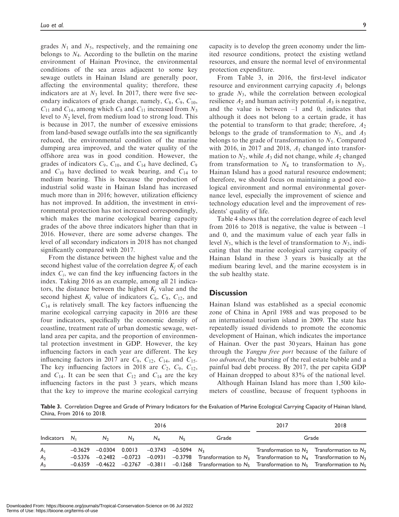grades  $N_1$  and  $N_5$ , respectively, and the remaining one belongs to  $N_4$ . According to the bulletin on the marine environment of Hainan Province, the environmental conditions of the sea areas adjacent to some key sewage outlets in Hainan Island are generally poor, affecting the environmental quality; therefore, these indicators are at  $N_3$  level. In 2017, there were five secondary indicators of grade change, namely,  $C_8$ ,  $C_9$ ,  $C_{10}$ ,  $C_{11}$  and  $C_{14}$ , among which  $C_8$  and  $C_{11}$  increased from  $N_3$ level to  $N_2$  level, from medium load to strong load. This is because in 2017, the number of excessive emissions from land-based sewage outfalls into the sea significantly reduced, the environmental condition of the marine dumping area improved, and the water quality of the offshore area was in good condition. However, the grades of indicators  $C_9$ ,  $C_{10}$ , and  $C_{14}$  have declined,  $C_9$ and  $C_{10}$  have declined to weak bearing, and  $C_{14}$  to medium bearing. This is because the production of industrial solid waste in Hainan Island has increased much more than in 2016; however, utilization efficiency has not improved. In addition, the investment in environmental protection has not increased correspondingly, which makes the marine ecological bearing capacity grades of the above three indicators higher than that in 2016. However, there are some adverse changes. The level of all secondary indicators in 2018 has not changed significantly compared with 2017.

From the distance between the highest value and the second highest value of the correlation degree  $K_i$  of each index  $C_i$ , we can find the key influencing factors in the index. Taking 2016 as an example, among all 21 indicators, the distance between the highest  $K_i$  value and the second highest  $K_i$  value of indicators  $C_6$ ,  $C_8$ ,  $C_{12}$ , and  $C_{14}$  is relatively small. The key factors influencing the marine ecological carrying capacity in 2016 are these four indicators, specifically the economic density of coastline, treatment rate of urban domestic sewage, wetland area per capita, and the proportion of environmental protection investment in GDP. However, the key influencing factors in each year are different. The key influencing factors in 2017 are  $C_9$ ,  $C_{12}$ ,  $C_{14}$ , and  $C_{15}$ . The key influencing factors in 2018 are  $C_2$ ,  $C_9$ ,  $C_{12}$ , and  $C_{14}$ . It can be seen that  $C_{12}$  and  $C_{14}$  are the key influencing factors in the past 3 years, which means that the key to improve the marine ecological carrying capacity is to develop the green economy under the limited resource conditions, protect the existing wetland resources, and ensure the normal level of environmental protection expenditure.

From Table 3, in 2016, the first-level indicator resource and environment carrying capacity  $A_1$  belongs to grade  $N_3$ , while the correlation between ecological resilience  $A_2$  and human activity potential  $A_3$  is negative, and the value is between  $-1$  and 0, indicates that although it does not belong to a certain grade, it has the potential to transform to that grade; therefore,  $A_2$ belongs to the grade of transformation to  $N_3$ , and  $A_3$ belongs to the grade of transformation to  $N<sub>5</sub>$ . Compared with 2016, in 2017 and 2018,  $A_1$  changed into transformation to  $N_2$ , while  $A_3$  did not change, while  $A_2$  changed from transformation to  $N_4$  to transformation to  $N_3$ . Hainan Island has a good natural resource endowment; therefore, we should focus on maintaining a good ecological environment and normal environmental governance level, especially the improvement of science and technology education level and the improvement of residents' quality of life.

Table 4 shows that the correlation degree of each level from 2016 to 2018 is negative, the value is between –1 and 0, and the maximum value of each year falls in level  $N_3$ , which is the level of transformation to  $N_3$ , indicating that the marine ecological carrying capacity of Hainan Island in these 3 years is basically at the medium bearing level, and the marine ecosystem is in the sub healthy state.

# **Discussion**

Hainan Island was established as a special economic zone of China in April 1988 and was proposed to be an international tourism island in 2009. The state has repeatedly issued dividends to promote the economic development of Hainan, which indicates the importance of Hainan. Over the past 30 years, Hainan has gone through the Yangpu free port because of the failure of too advanced, the bursting of the real estate bubble and a painful bad debt process. By 2017, the per capita GDP of Hainan dropped to about 83% of the national level.

Although Hainan Island has more than 1,500 kilometers of coastline, because of frequent typhoons in

Table 3. Correlation Degree and Grade of Primary Indicators for the Evaluation of Marine Ecological Carrying Capacity of Hainan Island, China, From 2016 to 2018.

|                  |                                                               |         | 2016    | 2017        | 2018  |                                                                                                                                                      |                                                 |
|------------------|---------------------------------------------------------------|---------|---------|-------------|-------|------------------------------------------------------------------------------------------------------------------------------------------------------|-------------------------------------------------|
| Indicators $N_1$ | $N_2$                                                         | $N_{2}$ | $N_{4}$ | $N_{\rm E}$ | Grade | Grade                                                                                                                                                |                                                 |
| A <sub>1</sub>   | $-0.3629$ $-0.0304$ 0.0013 $-0.3743$ $-0.5094$ N <sub>3</sub> |         |         |             |       |                                                                                                                                                      | Transformation to $N_2$ Transformation to $N_2$ |
| A <sub>2</sub>   |                                                               |         |         |             |       | $-0.5376$ $-0.2482$ $-0.0723$ $-0.0931$ $-0.3798$ Transformation to N <sub>3</sub> Transformation to N <sub>4</sub> Transformation to N <sub>3</sub> |                                                 |
| $A_{3}$          |                                                               |         |         |             |       | $-0.6359$ $-0.4622$ $-0.2767$ $-0.3811$ $-0.1268$ Transformation to N <sub>5</sub> Transformation to N <sub>5</sub> Transformation to N <sub>5</sub> |                                                 |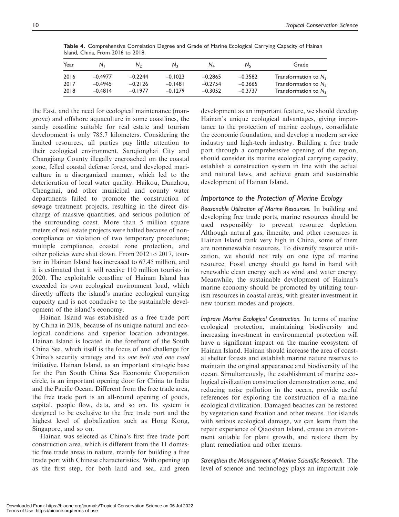| Year | N.        | N <sub>2</sub> | $N_{2}$   | $N_A$     | Nς        | Grade                   |
|------|-----------|----------------|-----------|-----------|-----------|-------------------------|
| 2016 | $-0.4977$ | $-0.2244$      | $-0.1023$ | $-0.2865$ | $-0.3582$ | Transformation to $N_3$ |
| 2017 | $-0.4945$ | $-0.2126$      | $-0.1481$ | $-0.2754$ | $-0.3665$ | Transformation to $N_3$ |
| 2018 | $-0.4814$ | $-0.1977$      | $-0.1279$ | $-0.3052$ | $-0.3737$ | Transformation to $N_3$ |

Table 4. Comprehensive Correlation Degree and Grade of Marine Ecological Carrying Capacity of Hainan Island, China, From 2016 to 2018.

the East, and the need for ecological maintenance (mangrove) and offshore aquaculture in some coastlines, the sandy coastline suitable for real estate and tourism development is only 785.7 kilometers. Considering the limited resources, all parties pay little attention to their ecological environment. Sanqionghai City and Changjiang County illegally encroached on the coastal zone, felled coastal defense forest, and developed mariculture in a disorganized manner, which led to the deterioration of local water quality. Haikou, Danzhou, Chengmai, and other municipal and county water departments failed to promote the construction of sewage treatment projects, resulting in the direct discharge of massive quantities, and serious pollution of the surrounding coast. More than 5 million square meters of real estate projects were halted because of noncompliance or violation of two temporary procedures; multiple compliance, coastal zone protection, and other policies were shut down. From 2012 to 2017, tourism in Hainan Island has increased to 67.45 million, and it is estimated that it will receive 110 million tourists in 2020. The exploitable coastline of Hainan Island has exceeded its own ecological environment load, which directly affects the island's marine ecological carrying capacity and is not conducive to the sustainable development of the island's economy.

Hainan Island was established as a free trade port by China in 2018, because of its unique natural and ecological conditions and superior location advantages. Hainan Island is located in the forefront of the South China Sea, which itself is the focus of and challenge for China's security strategy and its one belt and one road initiative. Hainan Island, as an important strategic base for the Pan South China Sea Economic Cooperation circle, is an important opening door for China to India and the Pacific Ocean. Different from the free trade area, the free trade port is an all-round opening of goods, capital, people flow, data, and so on. Its system is designed to be exclusive to the free trade port and the highest level of globalization such as Hong Kong, Singapore, and so on.

Hainan was selected as China's first free trade port construction area, which is different from the 11 domestic free trade areas in nature, mainly for building a free trade port with Chinese characteristics. With opening up as the first step, for both land and sea, and green development as an important feature, we should develop Hainan's unique ecological advantages, giving importance to the protection of marine ecology, consolidate the economic foundation, and develop a modern service industry and high-tech industry. Building a free trade port through a comprehensive opening of the region, should consider its marine ecological carrying capacity, establish a construction system in line with the actual and natural laws, and achieve green and sustainable development of Hainan Island.

### Importance to the Protection of Marine Ecology

Reasonable Utilization of Marine Resources. In building and developing free trade ports, marine resources should be used responsibly to prevent resource depletion. Although natural gas, ilmenite, and other resources in Hainan Island rank very high in China, some of them are nonrenewable resources. To diversify resource utilization, we should not rely on one type of marine resource. Fossil energy should go hand in hand with renewable clean energy such as wind and water energy. Meanwhile, the sustainable development of Hainan's marine economy should be promoted by utilizing tourism resources in coastal areas, with greater investment in new tourism modes and projects.

Improve Marine Ecological Construction. In terms of marine ecological protection, maintaining biodiversity and increasing investment in environmental protection will have a significant impact on the marine ecosystem of Hainan Island. Hainan should increase the area of coastal shelter forests and establish marine nature reserves to maintain the original appearance and biodiversity of the ocean. Simultaneously, the establishment of marine ecological civilization construction demonstration zone, and reducing noise pollution in the ocean, provide useful references for exploring the construction of a marine ecological civilization. Damaged beaches can be restored by vegetation sand fixation and other means. For islands with serious ecological damage, we can learn from the repair experience of Qiaoshan Island, create an environment suitable for plant growth, and restore them by plant remediation and other means.

Strengthen the Management of Marine Scientific Research. The level of science and technology plays an important role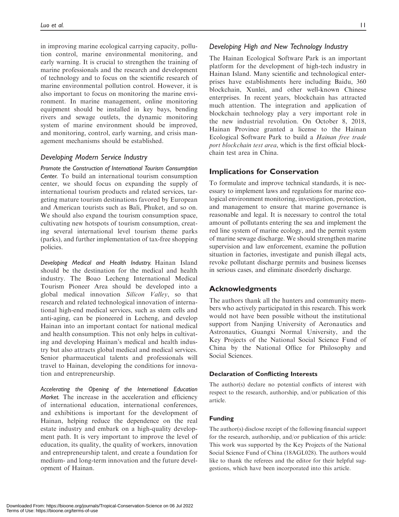in improving marine ecological carrying capacity, pollution control, marine environmental monitoring, and early warning. It is crucial to strengthen the training of marine professionals and the research and development of technology and to focus on the scientific research of marine environmental pollution control. However, it is also important to focus on monitoring the marine environment. In marine management, online monitoring equipment should be installed in key bays, bending rivers and sewage outlets, the dynamic monitoring system of marine environment should be improved, and monitoring, control, early warning, and crisis management mechanisms should be established.

# Developing Modern Service Industry

Promote the Construction of International Tourism Consumption Center. To build an international tourism consumption center, we should focus on expanding the supply of international tourism products and related services, targeting mature tourism destinations favored by European and American tourists such as Bali, Phuket, and so on. We should also expand the tourism consumption space, cultivating new hotspots of tourism consumption, creating several international level tourism theme parks (parks), and further implementation of tax-free shopping policies.

Developing Medical and Health Industry. Hainan Island should be the destination for the medical and health industry. The Boao Lecheng International Medical Tourism Pioneer Area should be developed into a global medical innovation Silicon Valley, so that research and related technological innovation of international high-end medical services, such as stem cells and anti-aging, can be pioneered in Lecheng, and develop Hainan into an important contact for national medical and health consumption. This not only helps in cultivating and developing Hainan's medical and health industry but also attracts global medical and medical services. Senior pharmaceutical talents and professionals will travel to Hainan, developing the conditions for innovation and entrepreneurship.

Accelerating the Opening of the International Education Market. The increase in the acceleration and efficiency of international education, international conferences, and exhibitions is important for the development of Hainan, helping reduce the dependence on the real estate industry and embark on a high-quality development path. It is very important to improve the level of education, its quality, the quality of workers, innovation and entrepreneurship talent, and create a foundation for medium- and long-term innovation and the future development of Hainan.

## Developing High and New Technology Industry

The Hainan Ecological Software Park is an important platform for the development of high-tech industry in Hainan Island. Many scientific and technological enterprises have establishments here including Baidu, 360 blockchain, Xunlei, and other well-known Chinese enterprises. In recent years, blockchain has attracted much attention. The integration and application of blockchain technology play a very important role in the new industrial revolution. On October 8, 2018, Hainan Province granted a license to the Hainan Ecological Software Park to build a Hainan free trade port blockchain test area, which is the first official blockchain test area in China.

# Implications for Conservation

To formulate and improve technical standards, it is necessary to implement laws and regulations for marine ecological environment monitoring, investigation, protection, and management to ensure that marine governance is reasonable and legal. It is necessary to control the total amount of pollutants entering the sea and implement the red line system of marine ecology, and the permit system of marine sewage discharge. We should strengthen marine supervision and law enforcement, examine the pollution situation in factories, investigate and punish illegal acts, revoke pollutant discharge permits and business licenses in serious cases, and eliminate disorderly discharge.

# Acknowledgments

The authors thank all the hunters and community members who actively participated in this research. This work would not have been possible without the institutional support from Nanjing University of Aeronautics and Astronautics, Guangxi Normal University, and the Key Projects of the National Social Science Fund of China by the National Office for Philosophy and Social Sciences.

#### Declaration of Conflicting Interests

The author(s) declare no potential conflicts of interest with respect to the research, authorship, and/or publication of this article.

#### Funding

The author(s) disclose receipt of the following financial support for the research, authorship, and/or publication of this article: This work was supported by the Key Projects of the National Social Science Fund of China (18AGL028). The authors would like to thank the referees and the editor for their helpful suggestions, which have been incorporated into this article.